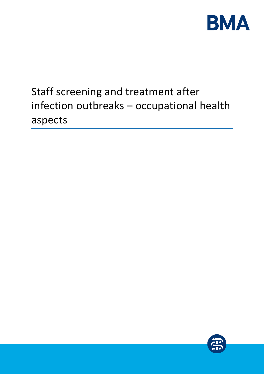

# Staff screening and treatment after infection outbreaks – occupational health aspects

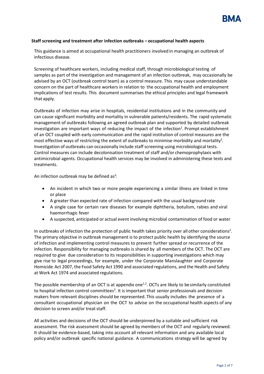#### **Staff screening and treatment after infection outbreaks – occupational health aspects**

This guidance is aimed at occupational health practitioners involved in managing an outbreak of infectious disease.

Screening of healthcare workers, including medical staff, through microbiological testing of samples as part of the investigation and management of an infection outbreak, may occasionally be advised by an OCT (outbreak control team) as a control measure. This may cause understandable concern on the part of healthcare workers in relation to the occupational health and employment implications of test results. This document summarises the ethical principles and legal framework that apply.

Outbreaks of infection may arise in hospitals, residential institutions and in the community and can cause significant morbidity and mortality in vulnerable patients/residents. The rapid systematic management of outbreaks following an agreed outbreak plan and supported by detailed outbreak investigation are important ways of reducing the impact of the infection<sup>1</sup>. Prompt establishment of an OCT coupled with early communication and the rapid institution of control measures are the most effective ways of restricting the extent of outbreaks to minimise morbidity and mortality<sup>2</sup>. Investigation of outbreaks can occasionally include staff screening using microbiological tests. Control measures can include decolonisation treatment of staff and/or chemoprophylaxis with antimicrobial agents. Occupational health services may be involved in administering these tests and treatments.

An infection outbreak may be defined as<sup>2</sup>:

- An incident in which two or more people experiencing a similar illness are linked in time or place
- A greater than expected rate of infection compared with the usual background rate
- A single case for certain rare diseases for example diphtheria, botulism, rabies and viral haemorrhagic fever
- A suspected, anticipated or actual event involving microbial contamination of food or water

In outbreaks of infection the protection of public health takes priority over all other considerations<sup>2</sup>. The primary objective in outbreak management is to protect public health by identifying the source of infection and implementing control measures to prevent further spread or recurrence of the infection. Responsibility for managing outbreaks is shared by all members of the OCT. The OCT are required to give due consideration to its responsibilities in supporting investigations which may give rise to legal proceedings, for example, under the Corporate Manslaughter and Corporate Homicide Act 2007, the Food Safety Act 1990 and associated regulations, and the Health and Safety at Work Act 1974 and associated regulations.

The possible membership of an OCT is at appendix one<sup>1,2</sup>. OCTs are likely to be similarly constituted to hospital infection control committees<sup>3</sup>. It is important that senior professionals and decision makers from relevant disciplines should be represented. This usually includes the presence of a consultant occupational physician on the OCT to advise on the occupational health aspects of any decision to screen and/or treat staff.

All activities and decisions of the OCT should be underpinned by a suitable and sufficient risk assessment. The risk assessment should be agreed by members of the OCT and regularly reviewed. It should be evidence-based, taking into account all relevant information and any available local policy and/or outbreak specific national guidance. A communications strategy will be agreed by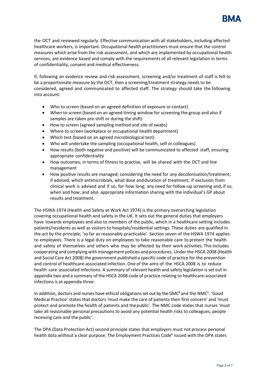

the OCT and reviewed regularly. Effective communication with all stakeholders, including affected healthcare workers, is important. Occupational health practitioners must ensure that the control measures which arise from the risk assessment, and which are implemented by occupational health services, are evidence based and comply with the requirements of all relevant legislation in terms of confidentiality, consent and medical effectiveness.

If, following an evidence review and risk assessment, screening and/or treatment of staff is felt to be a proportionate measure by the OCT, then a screening/treatment strategy needs to be considered, agreed and communicated to affected staff. The strategy should take the following into account:

- Who to screen (based on an agreed definition of exposure or contact)
- When to screen (based on an agreed timing window for screening the group and also if samples are taken pre-shift or during the shift)
- How to screen (agreed sampling method and site of swabs)
- Where to screen (workplace or occupational health department)
- Which test (based on an agreed microbiological test)
- Who will undertake the sampling (occupational health, self or colleagues)
- How results (both negative and positive) will be communicated to affected staff, ensuring appropriate confidentiality
- How outcomes, in terms of fitness to practise, will be shared with the OCT and line management
- How positive results are managed; considering the need for any decolonisation/treatment; if advised, which antimicrobials, what dose andduration of treatment; if exclusion from clinical work is advised and if so, for how long; any need for follow-up screening and, if so, when and how; and also appropriate information sharing with the individual's GP about results and treatment.

The HSWA 1974 (Health and Safety at Work Act 1974) is the primary overarching legislation covering occupational health and safety in the UK. It sets out the general duties that employers have towards employees and also to members of the public, which in a healthcare setting includes patients/residents as well as visitors to hospitals/residential settings. These duties are qualified in the act by the principle; 'so far as reasonably practicable'. Section seven of the HSWA 1974 applies to employees. There is a legal duty on employees to take reasonable care to protect the health and safety of themselves and others who may be affected by their work activities. Thisincludes cooperating and complying with management policies and procedures. Under the HSCA 2008 (Health and Social Care Act 2008) the government published a specific code of practice for the prevention and control of healthcare-associated infection. One of the aims of the HSCA 2008 is to reduce health care associated infections. A summary of relevant health and safety legislation is set out in appendix two and a summary of the HSCA 2008 code of practice relating to healthcare-associated infections is at appendix three.

In addition, doctors and nurses have ethical obligations set out by the GMC<sup>4</sup> and the NMC<sup>5</sup>. 'Good Medical Practice' states that doctors 'must make the care of patients their first concern' and 'must protect and promote the health of patients and thepublic'. The NMC code states that nurses 'must take all reasonable personal precautions to avoid any potential health risks to colleagues, people receiving care and the public'.

The DPA (Data Protection Act) second principle states that employers must not process personal health data without a clear purpose. The Employment Practices Code<sup>6</sup> issued with the DPA states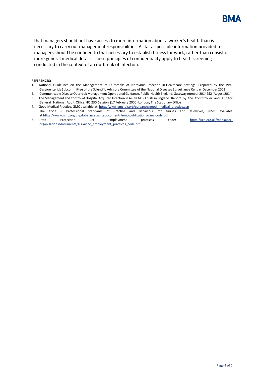

that managers should not have access to more information about a worker's health than is necessary to carry out management responsibilities. As far as possible information provided to managers should be confined to that necessary to establish fitness for work, rather than consist of more general medical details. These principles of confidentiality apply to health screening conducted in the context of an outbreak of infection.

#### **REFERENCES:**

- 1. National Guidelines on the Management of Outbreaks of Norovirus Infection in Healthcare Settings. Prepared by the Viral Gastroenteritis Subcommittee of the Scientific Advisory Committee of the National Diseases Surveillance Centre (December 2003)
- 2. Communicable Disease Outbreak Management Operational Guidance. Public Health England. Gateway number 2014252 (August 2014) 3. The Management and Control of Hospital Acquired Infection in Acute NHS Trustsin England. Report by the Comptroller and Auditor
- General. National Audit Office HC 230 Session (17 February 2000) London, The Stationary Office 4. Good Medical Practice, GMC available at[: http://www.gmc-uk.org/guidance/good\\_medical\\_practice.asp](http://www.gmc-uk.org/guidance/good_medical_practice.asp)
- 5. The Code Professional Standards of Practice and Behaviour for Nurses and Midwives, NMC available a[t https://www.nmc.org.uk/globalassets/sitedocuments/nmc-publications/nmc-code.pdf](https://www.nmc.org.uk/globalassets/sitedocuments/nmc-publications/nmc-code.pdf)<br>6. Data Protection Act Employment practices co
- practices code; [https://ico.org.uk/media/for](https://ico.org.uk/media/for-organisations/documents/1064/the_employment_practices_code.pdf)[organisations/documents/1064/the\\_employment\\_practices\\_code.pdf](https://ico.org.uk/media/for-organisations/documents/1064/the_employment_practices_code.pdf) .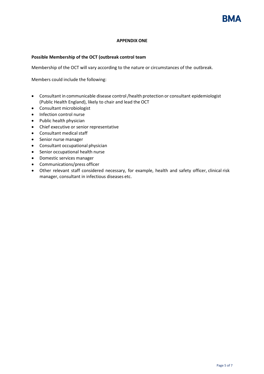# **APPENDIX ONE**

# **Possible Membership of the OCT (outbreak control team**

Membership of the OCT will vary according to the nature or circumstances of the outbreak.

Members could include the following:

- Consultant in communicable disease control/health protection or consultant epidemiologist (Public Health England), likely to chair and lead the OCT
- Consultant microbiologist
- Infection control nurse
- Public health physician
- Chief executive or senior representative
- Consultant medical staff
- Senior nurse manager
- Consultant occupational physician
- Senior occupational health nurse
- Domestic services manager
- Communications/press officer
- Other relevant staff considered necessary, for example, health and safety officer, clinical risk manager, consultant in infectious diseases etc.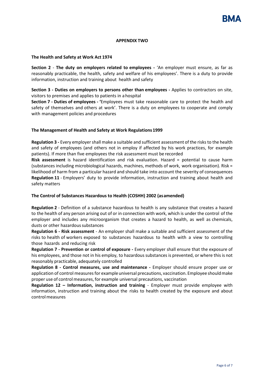#### **APPENDIX TWO**

#### **The Health and Safety at Work Act 1974**

**Section 2** - **The duty on employers related to employees -** 'An employer must ensure, as far as reasonably practicable, the health, safety and welfare of his employees'. There is a duty to provide information, instruction and training about health and safety

**Section 3 - Duties on employers to persons other than employees -** Applies to contractors on site, visitors to premises and applies to patients in a hospital

**Section 7 - Duties of employees - '**Employees must take reasonable care to protect the health and safety of themselves and others at work'. There is a duty on employees to cooperate and comply with management policies and procedures

## **The Management of Health and Safety at Work Regulations 1999**

**Regulation 3 -** Every employershall make a suitable and sufficient assessment of the risks to the health and safety of employees (and others not in employ if affected by his work practices, for example patients). If more than five employees the risk assessment must be recorded

**Risk assessment** is hazard identification and risk evaluation. Hazard = potential to cause harm (substances including microbiological hazards, machines, methods of work, work organisation). Risk = likelihood of harm from a particular hazard and should take into account the severity of consequences **Regulation 11** - Employers' duty to provide information, instruction and training about health and safety matters

## **The Control of Substances Hazardous to Health (COSHH) 2002 (asamended)**

**Regulation 2** - Definition of a substance hazardous to health is any substance that creates a hazard to the health of any person arising out of or in connection with work, which is under the control of the employer and includes any microorganism that creates a hazard to health, as well as chemicals, dusts or other hazardous substances

**Regulation 6 - Risk assessment** - An employer shall make a suitable and sufficient assessment of the risks to health of workers exposed to substances hazardous to health with a view to controlling those hazards and reducing risk

**Regulation 7 - Prevention or control of exposure -** Every employer shall ensure that the exposure of his employees, and those not in his employ, to hazardous substances is prevented, or where this is not reasonably practicable, adequately controlled

**Regulation 8 - Control measures, use and maintenance -** Employer should ensure proper use or application of control measures for example universal precautions, vaccination. Employee shouldmake proper use of control measures, for example universal precautions, vaccination

**Regulation 12 – Information, instruction and training** - Employer must provide employee with information, instruction and training about the risks to health created by the exposure and about control measures